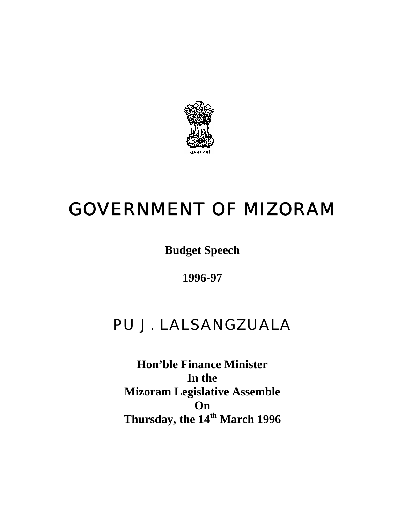

# GOVERNMENT OF MIZORAM

**Budget Speech** 

**1996-97** 

# PU J. LALSANGZUALA

**Hon'ble Finance Minister In the Mizoram Legislative Assemble On Thursday, the 14th March 1996**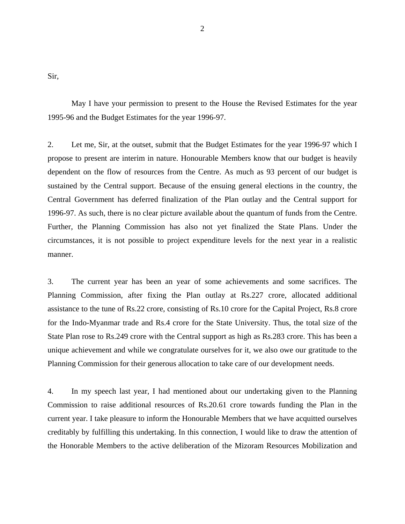Sir,

 May I have your permission to present to the House the Revised Estimates for the year 1995-96 and the Budget Estimates for the year 1996-97.

2. Let me, Sir, at the outset, submit that the Budget Estimates for the year 1996-97 which I propose to present are interim in nature. Honourable Members know that our budget is heavily dependent on the flow of resources from the Centre. As much as 93 percent of our budget is sustained by the Central support. Because of the ensuing general elections in the country, the Central Government has deferred finalization of the Plan outlay and the Central support for 1996-97. As such, there is no clear picture available about the quantum of funds from the Centre. Further, the Planning Commission has also not yet finalized the State Plans. Under the circumstances, it is not possible to project expenditure levels for the next year in a realistic manner.

3. The current year has been an year of some achievements and some sacrifices. The Planning Commission, after fixing the Plan outlay at Rs.227 crore, allocated additional assistance to the tune of Rs.22 crore, consisting of Rs.10 crore for the Capital Project, Rs.8 crore for the Indo-Myanmar trade and Rs.4 crore for the State University. Thus, the total size of the State Plan rose to Rs.249 crore with the Central support as high as Rs.283 crore. This has been a unique achievement and while we congratulate ourselves for it, we also owe our gratitude to the Planning Commission for their generous allocation to take care of our development needs.

4. In my speech last year, I had mentioned about our undertaking given to the Planning Commission to raise additional resources of Rs.20.61 crore towards funding the Plan in the current year. I take pleasure to inform the Honourable Members that we have acquitted ourselves creditably by fulfilling this undertaking. In this connection, I would like to draw the attention of the Honorable Members to the active deliberation of the Mizoram Resources Mobilization and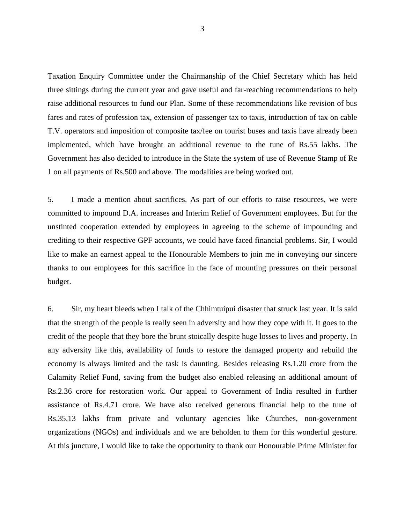Taxation Enquiry Committee under the Chairmanship of the Chief Secretary which has held three sittings during the current year and gave useful and far-reaching recommendations to help raise additional resources to fund our Plan. Some of these recommendations like revision of bus fares and rates of profession tax, extension of passenger tax to taxis, introduction of tax on cable T.V. operators and imposition of composite tax/fee on tourist buses and taxis have already been implemented, which have brought an additional revenue to the tune of Rs.55 lakhs. The Government has also decided to introduce in the State the system of use of Revenue Stamp of Re 1 on all payments of Rs.500 and above. The modalities are being worked out.

5. I made a mention about sacrifices. As part of our efforts to raise resources, we were committed to impound D.A. increases and Interim Relief of Government employees. But for the unstinted cooperation extended by employees in agreeing to the scheme of impounding and crediting to their respective GPF accounts, we could have faced financial problems. Sir, I would like to make an earnest appeal to the Honourable Members to join me in conveying our sincere thanks to our employees for this sacrifice in the face of mounting pressures on their personal budget.

6. Sir, my heart bleeds when I talk of the Chhimtuipui disaster that struck last year. It is said that the strength of the people is really seen in adversity and how they cope with it. It goes to the credit of the people that they bore the brunt stoically despite huge losses to lives and property. In any adversity like this, availability of funds to restore the damaged property and rebuild the economy is always limited and the task is daunting. Besides releasing Rs.1.20 crore from the Calamity Relief Fund, saving from the budget also enabled releasing an additional amount of Rs.2.36 crore for restoration work. Our appeal to Government of India resulted in further assistance of Rs.4.71 crore. We have also received generous financial help to the tune of Rs.35.13 lakhs from private and voluntary agencies like Churches, non-government organizations (NGOs) and individuals and we are beholden to them for this wonderful gesture. At this juncture, I would like to take the opportunity to thank our Honourable Prime Minister for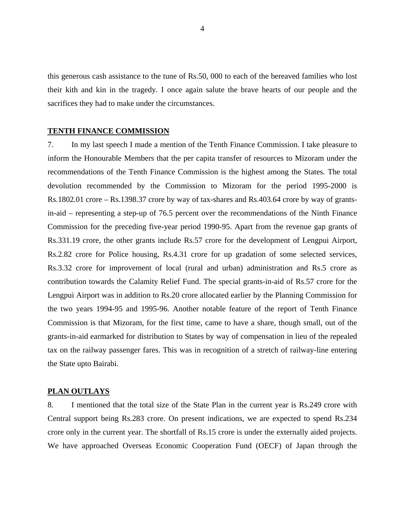this generous cash assistance to the tune of Rs.50, 000 to each of the bereaved families who lost their kith and kin in the tragedy. I once again salute the brave hearts of our people and the sacrifices they had to make under the circumstances.

## **TENTH FINANCE COMMISSION**

7. In my last speech I made a mention of the Tenth Finance Commission. I take pleasure to inform the Honourable Members that the per capita transfer of resources to Mizoram under the recommendations of the Tenth Finance Commission is the highest among the States. The total devolution recommended by the Commission to Mizoram for the period 1995-2000 is Rs.1802.01 crore – Rs.1398.37 crore by way of tax-shares and Rs.403.64 crore by way of grantsin-aid – representing a step-up of 76.5 percent over the recommendations of the Ninth Finance Commission for the preceding five-year period 1990-95. Apart from the revenue gap grants of Rs.331.19 crore, the other grants include Rs.57 crore for the development of Lengpui Airport, Rs.2.82 crore for Police housing, Rs.4.31 crore for up gradation of some selected services, Rs.3.32 crore for improvement of local (rural and urban) administration and Rs.5 crore as contribution towards the Calamity Relief Fund. The special grants-in-aid of Rs.57 crore for the Lengpui Airport was in addition to Rs.20 crore allocated earlier by the Planning Commission for the two years 1994-95 and 1995-96. Another notable feature of the report of Tenth Finance Commission is that Mizoram, for the first time, came to have a share, though small, out of the grants-in-aid earmarked for distribution to States by way of compensation in lieu of the repealed tax on the railway passenger fares. This was in recognition of a stretch of railway-line entering the State upto Bairabi.

#### **PLAN OUTLAYS**

8. I mentioned that the total size of the State Plan in the current year is Rs.249 crore with Central support being Rs.283 crore. On present indications, we are expected to spend Rs.234 crore only in the current year. The shortfall of Rs.15 crore is under the externally aided projects. We have approached Overseas Economic Cooperation Fund (OECF) of Japan through the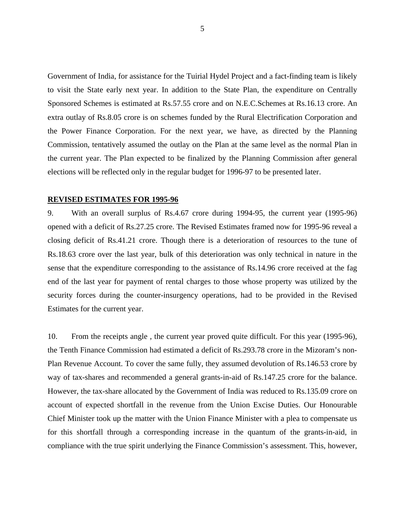Government of India, for assistance for the Tuirial Hydel Project and a fact-finding team is likely to visit the State early next year. In addition to the State Plan, the expenditure on Centrally Sponsored Schemes is estimated at Rs.57.55 crore and on N.E.C.Schemes at Rs.16.13 crore. An extra outlay of Rs.8.05 crore is on schemes funded by the Rural Electrification Corporation and the Power Finance Corporation. For the next year, we have, as directed by the Planning Commission, tentatively assumed the outlay on the Plan at the same level as the normal Plan in the current year. The Plan expected to be finalized by the Planning Commission after general elections will be reflected only in the regular budget for 1996-97 to be presented later.

#### **REVISED ESTIMATES FOR 1995-96**

9. With an overall surplus of Rs.4.67 crore during 1994-95, the current year (1995-96) opened with a deficit of Rs.27.25 crore. The Revised Estimates framed now for 1995-96 reveal a closing deficit of Rs.41.21 crore. Though there is a deterioration of resources to the tune of Rs.18.63 crore over the last year, bulk of this deterioration was only technical in nature in the sense that the expenditure corresponding to the assistance of Rs.14.96 crore received at the fag end of the last year for payment of rental charges to those whose property was utilized by the security forces during the counter-insurgency operations, had to be provided in the Revised Estimates for the current year.

10. From the receipts angle , the current year proved quite difficult. For this year (1995-96), the Tenth Finance Commission had estimated a deficit of Rs.293.78 crore in the Mizoram's non-Plan Revenue Account. To cover the same fully, they assumed devolution of Rs.146.53 crore by way of tax-shares and recommended a general grants-in-aid of Rs.147.25 crore for the balance. However, the tax-share allocated by the Government of India was reduced to Rs.135.09 crore on account of expected shortfall in the revenue from the Union Excise Duties. Our Honourable Chief Minister took up the matter with the Union Finance Minister with a plea to compensate us for this shortfall through a corresponding increase in the quantum of the grants-in-aid, in compliance with the true spirit underlying the Finance Commission's assessment. This, however,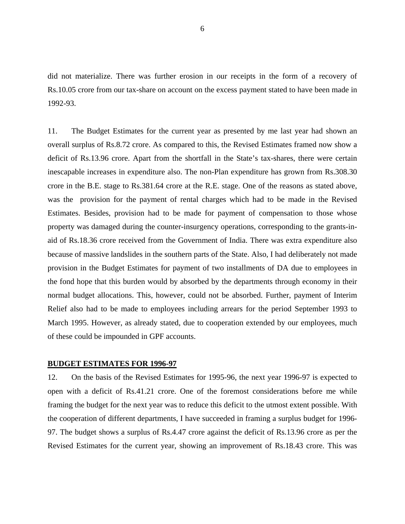did not materialize. There was further erosion in our receipts in the form of a recovery of Rs.10.05 crore from our tax-share on account on the excess payment stated to have been made in 1992-93.

11. The Budget Estimates for the current year as presented by me last year had shown an overall surplus of Rs.8.72 crore. As compared to this, the Revised Estimates framed now show a deficit of Rs.13.96 crore. Apart from the shortfall in the State's tax-shares, there were certain inescapable increases in expenditure also. The non-Plan expenditure has grown from Rs.308.30 crore in the B.E. stage to Rs.381.64 crore at the R.E. stage. One of the reasons as stated above, was the provision for the payment of rental charges which had to be made in the Revised Estimates. Besides, provision had to be made for payment of compensation to those whose property was damaged during the counter-insurgency operations, corresponding to the grants-inaid of Rs.18.36 crore received from the Government of India. There was extra expenditure also because of massive landslides in the southern parts of the State. Also, I had deliberately not made provision in the Budget Estimates for payment of two installments of DA due to employees in the fond hope that this burden would by absorbed by the departments through economy in their normal budget allocations. This, however, could not be absorbed. Further, payment of Interim Relief also had to be made to employees including arrears for the period September 1993 to March 1995. However, as already stated, due to cooperation extended by our employees, much of these could be impounded in GPF accounts.

## **BUDGET ESTIMATES FOR 1996-97**

12. On the basis of the Revised Estimates for 1995-96, the next year 1996-97 is expected to open with a deficit of Rs.41.21 crore. One of the foremost considerations before me while framing the budget for the next year was to reduce this deficit to the utmost extent possible. With the cooperation of different departments, I have succeeded in framing a surplus budget for 1996- 97. The budget shows a surplus of Rs.4.47 crore against the deficit of Rs.13.96 crore as per the Revised Estimates for the current year, showing an improvement of Rs.18.43 crore. This was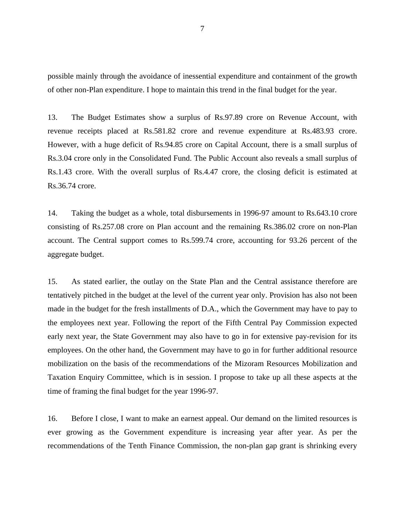possible mainly through the avoidance of inessential expenditure and containment of the growth of other non-Plan expenditure. I hope to maintain this trend in the final budget for the year.

13. The Budget Estimates show a surplus of Rs.97.89 crore on Revenue Account, with revenue receipts placed at Rs.581.82 crore and revenue expenditure at Rs.483.93 crore. However, with a huge deficit of Rs.94.85 crore on Capital Account, there is a small surplus of Rs.3.04 crore only in the Consolidated Fund. The Public Account also reveals a small surplus of Rs.1.43 crore. With the overall surplus of Rs.4.47 crore, the closing deficit is estimated at Rs.36.74 crore.

14. Taking the budget as a whole, total disbursements in 1996-97 amount to Rs.643.10 crore consisting of Rs.257.08 crore on Plan account and the remaining Rs.386.02 crore on non-Plan account. The Central support comes to Rs.599.74 crore, accounting for 93.26 percent of the aggregate budget.

15. As stated earlier, the outlay on the State Plan and the Central assistance therefore are tentatively pitched in the budget at the level of the current year only. Provision has also not been made in the budget for the fresh installments of D.A., which the Government may have to pay to the employees next year. Following the report of the Fifth Central Pay Commission expected early next year, the State Government may also have to go in for extensive pay-revision for its employees. On the other hand, the Government may have to go in for further additional resource mobilization on the basis of the recommendations of the Mizoram Resources Mobilization and Taxation Enquiry Committee, which is in session. I propose to take up all these aspects at the time of framing the final budget for the year 1996-97.

16. Before I close, I want to make an earnest appeal. Our demand on the limited resources is ever growing as the Government expenditure is increasing year after year. As per the recommendations of the Tenth Finance Commission, the non-plan gap grant is shrinking every